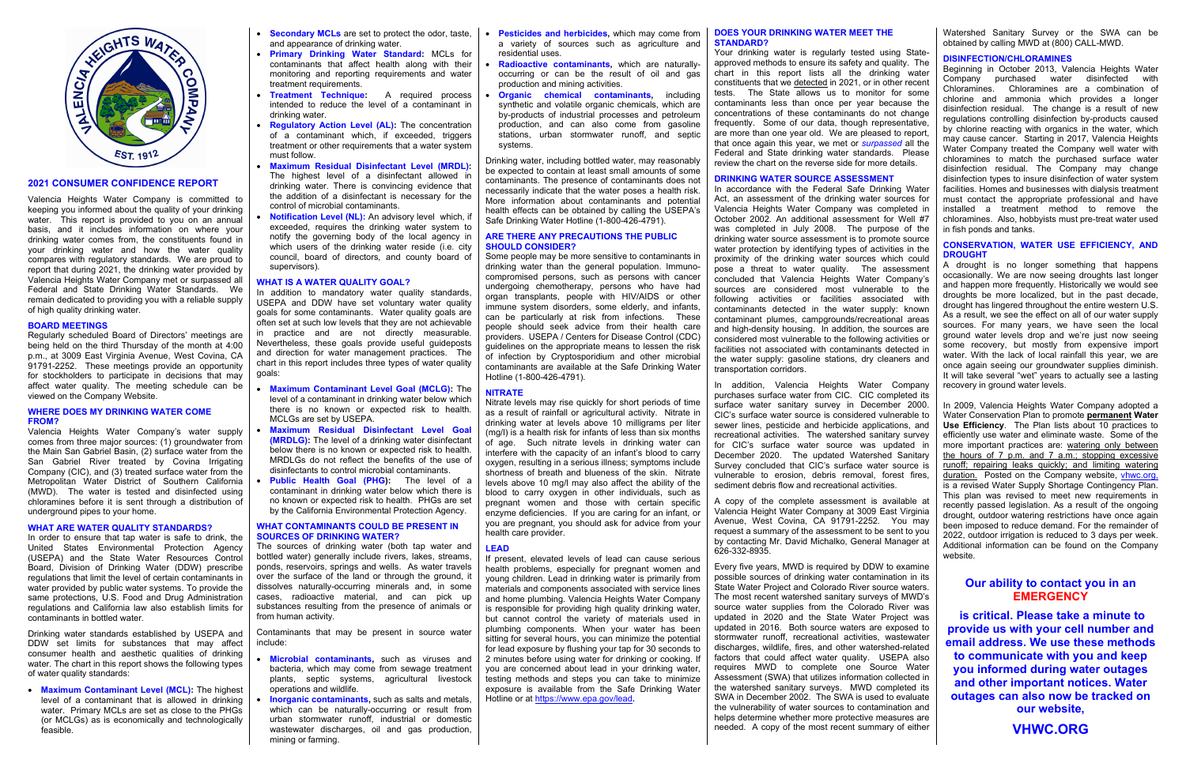

## **2021 CONSUMER CONFIDENCE REPORT**

Valencia Heights Water Company is committed to keeping you informed about the quality of your drinking water. This report is provided to you on an annual basis, and it includes information on where your drinking water comes from, the constituents found in your drinking water and how the water quality compares with regulatory standards. We are proud to report that during 2021, the drinking water provided by Valencia Heights Water Company met or surpassed all Federal and State Drinking Water Standards. We remain dedicated to providing you with a reliable supply of high quality drinking water.

## **BOARD MEETINGS**

Regularly scheduled Board of Directors' meetings are being held on the third Thursday of the month at 4:00 p.m., at 3009 East Virginia Avenue, West Covina, CA 91791-2252. These meetings provide an opportunity for stockholders to participate in decisions that may affect water quality. The meeting schedule can be viewed on the Company Website.

#### **WHERE DOES MY DRINKING WATER COME FROM?**

Valencia Heights Water Company's water supply comes from three major sources: (1) groundwater from the Main San Gabriel Basin, (2) surface water from the San Gabriel River treated by Covina Irrigating Company (CIC), and (3) treated surface water from the Metropolitan Water District of Southern California (MWD). The water is tested and disinfected using chloramines before it is sent through a distribution of underground pipes to your home.

## **WHAT ARE WATER QUALITY STANDARDS?**

- **Secondary MCLs** are set to protect the odor, taste, and appearance of drinking water.
- **Primary Drinking Water Standard:** MCLs for contaminants that affect health along with their monitoring and reporting requirements and water treatment requirements.
- **Treatment Technique:** A required process intended to reduce the level of a contaminant in drinking water.
- **Regulatory Action Level (AL):** The concentration of a contaminant which, if exceeded, triggers treatment or other requirements that a water system must follow.
- **Maximum Residual Disinfectant Level (MRDL):**  The highest level of a disinfectant allowed in drinking water. There is convincing evidence that the addition of a disinfectant is necessary for the control of microbial contaminants.
- **Notification Level (NL):** An advisory level which, if exceeded, requires the drinking water system to notify the governing body of the local agency in which users of the drinking water reside (i.e. city council, board of directors, and county board of supervisors).

In order to ensure that tap water is safe to drink, the United States Environmental Protection Agency (USEPA) and the State Water Resources Control Board, Division of Drinking Water (DDW) prescribe regulations that limit the level of certain contaminants in water provided by public water systems. To provide the same protections, U.S. Food and Drug Administration regulations and California law also establish limits for contaminants in bottled water.

Drinking water standards established by USEPA and DDW set limits for substances that may affect consumer health and aesthetic qualities of drinking water. The chart in this report shows the following types of water quality standards:

• **Maximum Contaminant Level (MCL):** The highest level of a contaminant that is allowed in drinking water. Primary MCLs are set as close to the PHGs (or MCLGs) as is economically and technologically feasible.

## **WHAT IS A WATER QUALITY GOAL?**

In addition to mandatory water quality standards, USEPA and DDW have set voluntary water quality goals for some contaminants. Water quality goals are often set at such low levels that they are not achievable in practice and are not directly measurable. Nevertheless, these goals provide useful guideposts and direction for water management practices. The chart in this report includes three types of water quality goals:

- **Maximum Contaminant Level Goal (MCLG):** The level of a contaminant in drinking water below which there is no known or expected risk to health. MCLGs are set by USEPA.
- **Maximum Residual Disinfectant Level Goal (MRDLG):** The level of a drinking water disinfectant below there is no known or expected risk to health. MRDLGs do not reflect the benefits of the use of disinfectants to control microbial contaminants.
- **Public Health Goal (PHG):** The level of a contaminant in drinking water below which there is no known or expected risk to health. PHGs are set by the California Environmental Protection Agency.

## **WHAT CONTAMINANTS COULD BE PRESENT IN SOURCES OF DRINKING WATER?**

The sources of drinking water (both tap water and bottled water) generally include rivers, lakes, streams, ponds, reservoirs, springs and wells. As water travels over the surface of the land or through the ground, it dissolves naturally-occurring minerals and, in some cases, radioactive material, and can pick up substances resulting from the presence of animals or from human activity.

Contaminants that may be present in source water include:

- **Microbial contaminants,** such as viruses and bacteria, which may come from sewage treatment plants, septic systems, agricultural livestock operations and wildlife.
- **Inorganic contaminants, such as salts and metals,** which can be naturally-occurring or result from urban stormwater runoff, industrial or domestic wastewater discharges, oil and gas production, mining or farming.
- **Pesticides and herbicides,** which may come from a variety of sources such as agriculture and residential uses.
- **Radioactive contaminants,** which are naturallyoccurring or can be the result of oil and gas production and mining activities.
- **Organic chemical contaminants, including** synthetic and volatile organic chemicals, which are by-products of industrial processes and petroleum production, and can also come from gasoline stations, urban stormwater runoff, and septic systems.

Drinking water, including bottled water, may reasonably be expected to contain at least small amounts of some contaminants. The presence of contaminants does not necessarily indicate that the water poses a health risk. More information about contaminants and potential health effects can be obtained by calling the USEPA's Safe Drinking Water Hotline (1-800-426-4791).

### **ARE THERE ANY PRECAUTIONS THE PUBLIC SHOULD CONSIDER?**

A drought is no longer something that happens occasionally. We are now seeing droughts last longer and happen more frequently. Historically we would see droughts be more localized, but in the past decade, drought has lingered throughout the entire western U.S. As a result, we see the effect on all of our water supply sources. For many years, we have seen the local ground water levels drop and we're just now seeing some recovery, but mostly from expensive import water. With the lack of local rainfall this year, we are once again seeing our groundwater supplies diminish. It will take several "wet" years to actually see a lasting recovery in ground water levels.

Some people may be more sensitive to contaminants in drinking water than the general population. Immunocompromised persons, such as persons with cancer undergoing chemotherapy, persons who have had organ transplants, people with HIV/AIDS or other immune system disorders, some elderly, and infants, can be particularly at risk from infections. These people should seek advice from their health care providers. USEPA / Centers for Disease Control (CDC) guidelines on the appropriate means to lessen the risk of infection by Cryptosporidium and other microbial contaminants are available at the Safe Drinking Water Hotline (1-800-426-4791).

## **NITRATE**

Nitrate levels may rise quickly for short periods of time as a result of rainfall or agricultural activity. Nitrate in drinking water at levels above 10 milligrams per liter (mg/l) is a health risk for infants of less than six months of age. Such nitrate levels in drinking water can interfere with the capacity of an infant's blood to carry oxygen, resulting in a serious illness; symptoms include shortness of breath and blueness of the skin. Nitrate levels above 10 mg/l may also affect the ability of the blood to carry oxygen in other individuals, such as pregnant women and those with certain specific enzyme deficiencies. If you are caring for an infant, or you are pregnant, you should ask for advice from your health care provider.

## **LEAD**

If present, elevated levels of lead can cause serious health problems, especially for pregnant women and young children. Lead in drinking water is primarily from materials and components associated with service lines and home plumbing. Valencia Heights Water Company is responsible for providing high quality drinking water. but cannot control the variety of materials used in plumbing components. When your water has been sitting for several hours, you can minimize the potential for lead exposure by flushing your tap for 30 seconds to 2 minutes before using water for drinking or cooking. If you are concerned about lead in your drinking water, testing methods and steps you can take to minimize exposure is available from the Safe Drinking Water Hotline or at <https://www.epa.gov/lead>*.*

## **DOES YOUR DRINKING WATER MEET THE STANDARD?**

Your drinking water is regularly tested using Stateapproved methods to ensure its safety and quality. The chart in this report lists all the drinking water constituents that we detected in 2021, or in other recent tests. The State allows us to monitor for some contaminants less than once per year because the concentrations of these contaminants do not change frequently. Some of our data, though representative, are more than one year old. We are pleased to report, that once again this year, we met or *surpassed* all the Federal and State drinking water standards. Please review the chart on the reverse side for more details.

## **DRINKING WATER SOURCE ASSESSMENT**

In accordance with the Federal Safe Drinking Water Act, an assessment of the drinking water sources for Valencia Heights Water Company was completed in October 2002. An additional assessment for Well #7 was completed in July 2008. The purpose of the drinking water source assessment is to promote source water protection by identifying types of activities in the proximity of the drinking water sources which could pose a threat to water quality. The assessment concluded that Valencia Heights Water Company's sources are considered most vulnerable to the following activities or facilities associated with contaminants detected in the water supply: known contaminant plumes, campgrounds/recreational areas and high-density housing. In addition, the sources are considered most vulnerable to the following activities or facilities not associated with contaminants detected in the water supply: gasoline stations, dry cleaners and transportation corridors.

In addition, Valencia Heights Water Company purchases surface water from CIC. CIC completed its surface water sanitary survey in December 2000. CIC's surface water source is considered vulnerable to sewer lines, pesticide and herbicide applications, and recreational activities. The watershed sanitary survey for CIC's surface water source was updated in December 2020. The updated Watershed Sanitary Survey concluded that CIC's surface water source is vulnerable to erosion, debris removal, forest fires, sediment debris flow and recreational activities.

A copy of the complete assessment is available at Valencia Height Water Company at 3009 East Virginia Avenue, West Covina, CA 91791-2252. You may request a summary of the assessment to be sent to you by contacting Mr. David Michalko, General Manager at 626-332-8935.

Every five years, MWD is required by DDW to examine possible sources of drinking water contamination in its State Water Project and Colorado River source waters. The most recent watershed sanitary surveys of MWD's source water supplies from the Colorado River was updated in 2020 and the State Water Project was updated in 2016. Both source waters are exposed to stormwater runoff, recreational activities, wastewater discharges, wildlife, fires, and other watershed-related factors that could affect water quality. USEPA also requires MWD to complete one Source Water Assessment (SWA) that utilizes information collected in the watershed sanitary surveys. MWD completed its SWA in December 2002. The SWA is used to evaluate the vulnerability of water sources to contamination and helps determine whether more protective measures are needed. A copy of the most recent summary of either

Watershed Sanitary Survey or the SWA can be obtained by calling MWD at (800) CALL-MWD.

## **DISINFECTION/CHLORAMINES**

Beginning in October 2013, Valencia Heights Water Company purchased water disinfected with Chloramines. Chloramines are a combination of chlorine and ammonia which provides a longer disinfection residual. The change is a result of new regulations controlling disinfection by-products caused by chlorine reacting with organics in the water, which may cause cancer. Starting in 2017, Valencia Heights Water Company treated the Company well water with chloramines to match the purchased surface water disinfection residual. The Company may change disinfection types to insure disinfection of water system facilities. Homes and businesses with dialysis treatment must contact the appropriate professional and have installed a treatment method to remove the chloramines. Also, hobbyists must pre-treat water used in fish ponds and tanks.

## **CONSERVATION, WATER USE EFFICIENCY, AND DROUGHT**

In 2009, Valencia Heights Water Company adopted a Water Conservation Plan to promote **permanent Water Use Efficiency**. The Plan lists about 10 practices to efficiently use water and eliminate waste. Some of the more important practices are: watering only between the hours of 7 p.m. and 7 a.m.; stopping excessive runoff; repairing leaks quickly; and limiting watering duration. Posted on the Company website, vhwc.org, is a revised Water Supply Shortage Contingency Plan. This plan was revised to meet new requirements in recently passed legislation. As a result of the ongoing drought, outdoor watering restrictions have once again been imposed to reduce demand. For the remainder of 2022, outdoor irrigation is reduced to 3 days per week. Additional information can be found on the Company website.

## **Our ability to contact you in an EMERGENCY**

**is critical. Please take a minute to provide us with your cell number and email address. We use these methods to communicate with you and keep you informed during water outages and other important notices. Water outages can also now be tracked on our website,**

**VHWC.ORG**